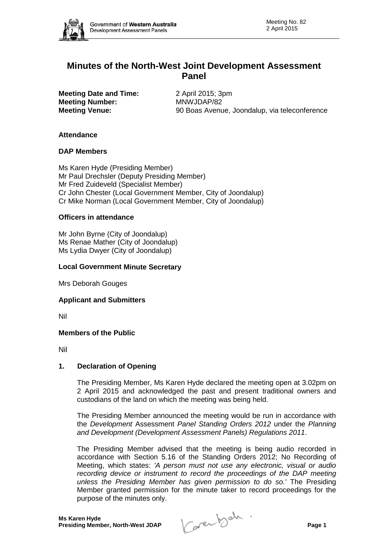

# **Minutes of the North-West Joint Development Assessment Panel**

**Meeting Date and Time:** 2 April 2015; 3pm **Meeting Number:** MNWJDAP/82

**Meeting Venue:** 90 Boas Avenue, Joondalup, via teleconference

## **Attendance**

#### **DAP Members**

Ms Karen Hyde (Presiding Member) Mr Paul Drechsler (Deputy Presiding Member) Mr Fred Zuideveld (Specialist Member) Cr John Chester (Local Government Member, City of Joondalup) Cr Mike Norman (Local Government Member, City of Joondalup)

#### **Officers in attendance**

Mr John Byrne (City of Joondalup) Ms Renae Mather (City of Joondalup) Ms Lydia Dwyer (City of Joondalup)

#### **Local Government Minute Secretary**

Mrs Deborah Gouges

#### **Applicant and Submitters**

Nil

#### **Members of the Public**

Nil

#### **1. Declaration of Opening**

The Presiding Member, Ms Karen Hyde declared the meeting open at 3.02pm on 2 April 2015 and acknowledged the past and present traditional owners and custodians of the land on which the meeting was being held.

The Presiding Member announced the meeting would be run in accordance with the *Development* Assessment *Panel Standing Orders 2012* under the *Planning and Development (Development Assessment Panels) Regulations 2011*.

The Presiding Member advised that the meeting is being audio recorded in accordance with Section 5.16 of the Standing Orders 2012; No Recording of Meeting, which states: *'A person must not use any electronic, visual or audio*  recording device or instrument to record the proceedings of the DAP meeting *unless the Presiding Member has given permission to do so.'* The Presiding Member granted permission for the minute taker to record proceedings for the purpose of the minutes only.

**Presiding Member, North-West JDAP Page 1**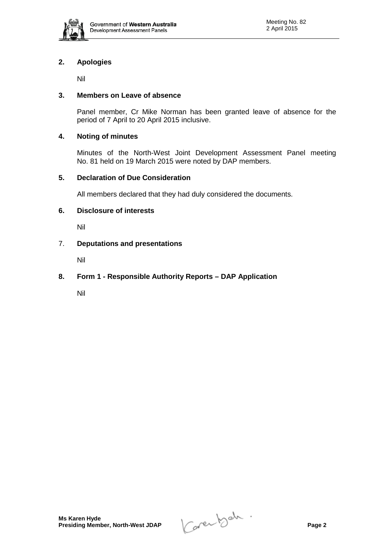

# **2. Apologies**

Nil

## **3. Members on Leave of absence**

Panel member, Cr Mike Norman has been granted leave of absence for the period of 7 April to 20 April 2015 inclusive.

## **4. Noting of minutes**

Minutes of the North-West Joint Development Assessment Panel meeting No. 81 held on 19 March 2015 were noted by DAP members.

## **5. Declaration of Due Consideration**

All members declared that they had duly considered the documents.

## **6. Disclosure of interests**

Nil

## 7. **Deputations and presentations**

Nil

# **8. Form 1 - Responsible Authority Reports – DAP Application**

Nil

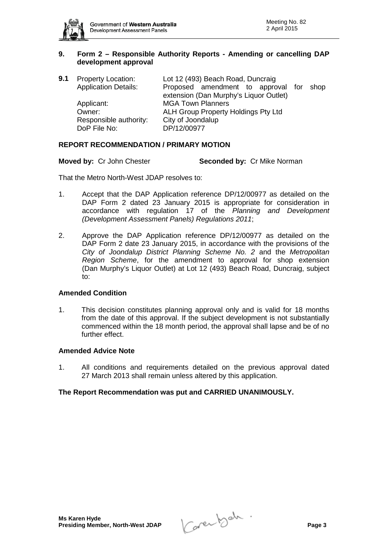

## **9. Form 2 – Responsible Authority Reports - Amending or cancelling DAP development approval**

| Proposed amendment to approval for shop |
|-----------------------------------------|
|                                         |
|                                         |
|                                         |
|                                         |
|                                         |

## **REPORT RECOMMENDATION / PRIMARY MOTION**

**Moved by:** Cr John Chester **Seconded by:** Cr Mike Norman

That the Metro North-West JDAP resolves to:

- 1. Accept that the DAP Application reference DP/12/00977 as detailed on the DAP Form 2 dated 23 January 2015 is appropriate for consideration in accordance with regulation 17 of the *Planning and Development (Development Assessment Panels) Regulations 2011*;
- 2. Approve the DAP Application reference DP/12/00977 as detailed on the DAP Form 2 date 23 January 2015, in accordance with the provisions of the *City of Joondalup District Planning Scheme No. 2* and the *Metropolitan Region Scheme*, for the amendment to approval for shop extension (Dan Murphy's Liquor Outlet) at Lot 12 (493) Beach Road, Duncraig, subject to:

## **Amended Condition**

1. This decision constitutes planning approval only and is valid for 18 months from the date of this approval. If the subject development is not substantially commenced within the 18 month period, the approval shall lapse and be of no further effect.

#### **Amended Advice Note**

1. All conditions and requirements detailed on the previous approval dated 27 March 2013 shall remain unless altered by this application.

## **The Report Recommendation was put and CARRIED UNANIMOUSLY.**

**Presiding Member, North-West JDAP Page 3**